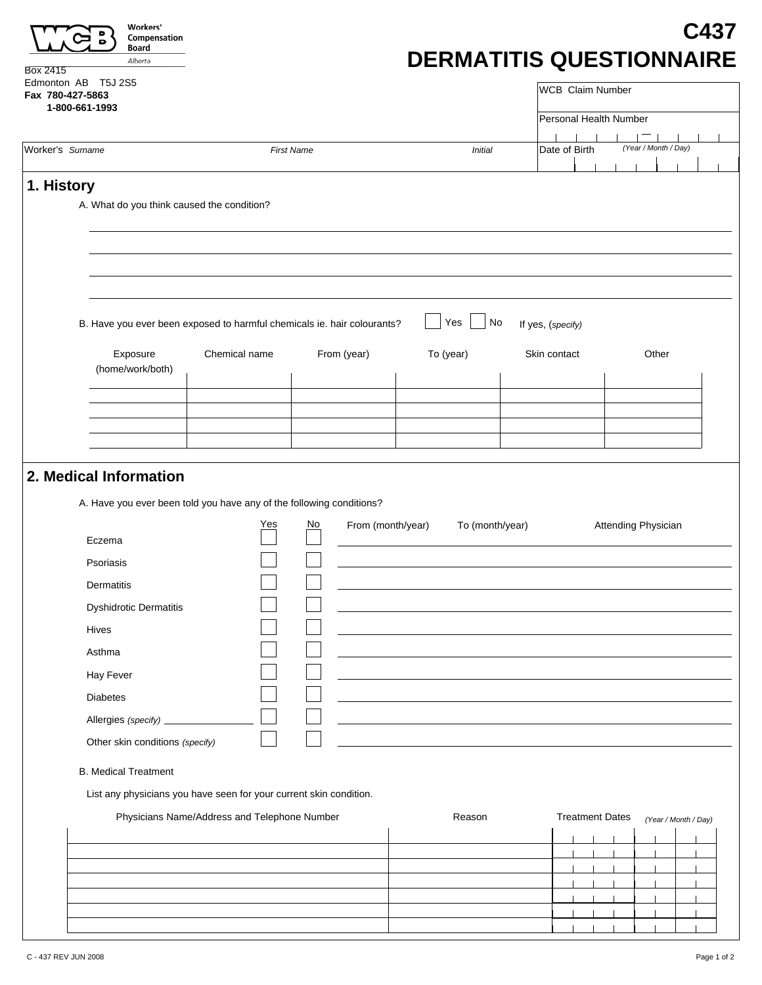| Edmonton AB T5J 2S5<br>Fax 780-427-5863                                                        |                                              |                   |                 | <b>WCB</b> Claim Number |                      |
|------------------------------------------------------------------------------------------------|----------------------------------------------|-------------------|-----------------|-------------------------|----------------------|
| 1-800-661-1993                                                                                 |                                              |                   |                 | Personal Health Number  |                      |
| Worker's Surname                                                                               |                                              | <b>First Name</b> | <b>Initial</b>  | Date of Birth           | (Year / Month / Day) |
|                                                                                                |                                              |                   |                 |                         |                      |
| 1. History                                                                                     |                                              |                   |                 |                         |                      |
| A. What do you think caused the condition?                                                     |                                              |                   |                 |                         |                      |
|                                                                                                |                                              |                   |                 |                         |                      |
|                                                                                                |                                              |                   |                 |                         |                      |
|                                                                                                |                                              |                   |                 |                         |                      |
|                                                                                                |                                              |                   |                 |                         |                      |
| B. Have you ever been exposed to harmful chemicals ie. hair colourants?                        |                                              |                   | No<br>Yes       | If yes, (specify)       |                      |
| Exposure                                                                                       | Chemical name                                | From (year)       | To (year)       | Skin contact            | Other                |
| (home/work/both)                                                                               |                                              |                   |                 |                         |                      |
|                                                                                                |                                              |                   |                 |                         |                      |
|                                                                                                |                                              |                   |                 |                         |                      |
|                                                                                                |                                              |                   |                 |                         |                      |
| 2. Medical Information<br>A. Have you ever been told you have any of the following conditions? |                                              |                   |                 |                         |                      |
|                                                                                                | Yes                                          | No                |                 |                         |                      |
| Eczema                                                                                         |                                              | From (month/year) | To (month/year) |                         | Attending Physician  |
| Psoriasis                                                                                      |                                              |                   |                 |                         |                      |
| Dermatitis                                                                                     |                                              |                   |                 |                         |                      |
| <b>Dyshidrotic Dermatitis</b>                                                                  |                                              |                   |                 |                         |                      |
| Hives                                                                                          |                                              |                   |                 |                         |                      |
| Asthma                                                                                         |                                              |                   |                 |                         |                      |
| Hay Fever                                                                                      |                                              |                   |                 |                         |                      |
| Diabetes                                                                                       |                                              |                   |                 |                         |                      |
| Allergies (specify)                                                                            |                                              |                   |                 |                         |                      |
| Other skin conditions (specify)                                                                |                                              |                   |                 |                         |                      |
| <b>B.</b> Medical Treatment                                                                    |                                              |                   |                 |                         |                      |
|                                                                                                |                                              |                   |                 |                         |                      |
| List any physicians you have seen for your current skin condition.                             |                                              |                   | Reason          | <b>Treatment Dates</b>  |                      |
|                                                                                                | Physicians Name/Address and Telephone Number |                   |                 |                         | (Year / Month / Day) |
|                                                                                                |                                              |                   |                 |                         |                      |